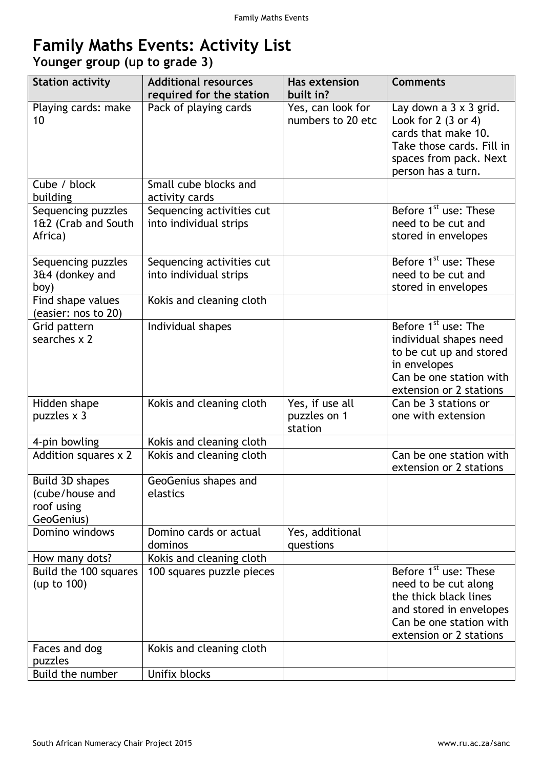## **Family Maths Events: Activity List**

**Younger group (up to grade 3)**

| <b>Station activity</b>                                        | <b>Additional resources</b><br>required for the station | <b>Has extension</b><br>built in?          | <b>Comments</b>                                                                                                                                                     |
|----------------------------------------------------------------|---------------------------------------------------------|--------------------------------------------|---------------------------------------------------------------------------------------------------------------------------------------------------------------------|
| Playing cards: make<br>10                                      | Pack of playing cards                                   | Yes, can look for<br>numbers to 20 etc     | Lay down a $3 \times 3$ grid.<br>Look for $2(3 \text{ or } 4)$<br>cards that make 10.<br>Take those cards. Fill in<br>spaces from pack. Next<br>person has a turn.  |
| Cube / block<br>building                                       | Small cube blocks and<br>activity cards                 |                                            |                                                                                                                                                                     |
| Sequencing puzzles<br>1&2 (Crab and South<br>Africa)           | Sequencing activities cut<br>into individual strips     |                                            | Before 1 <sup>st</sup> use: These<br>need to be cut and<br>stored in envelopes                                                                                      |
| Sequencing puzzles<br>3&4 (donkey and<br>boy)                  | Sequencing activities cut<br>into individual strips     |                                            | Before 1 <sup>st</sup> use: These<br>need to be cut and<br>stored in envelopes                                                                                      |
| Find shape values<br>(easier: nos to 20)                       | Kokis and cleaning cloth                                |                                            |                                                                                                                                                                     |
| Grid pattern<br>searches $\times$ 2                            | Individual shapes                                       |                                            | Before 1 <sup>st</sup> use: The<br>individual shapes need<br>to be cut up and stored<br>in envelopes<br>Can be one station with<br>extension or 2 stations          |
| Hidden shape<br>puzzles x 3                                    | Kokis and cleaning cloth                                | Yes, if use all<br>puzzles on 1<br>station | Can be 3 stations or<br>one with extension                                                                                                                          |
| 4-pin bowling                                                  | Kokis and cleaning cloth                                |                                            |                                                                                                                                                                     |
| <b>Addition squares x 2</b>                                    | Kokis and cleaning cloth                                |                                            | Can be one station with<br>extension or 2 stations                                                                                                                  |
| Build 3D shapes<br>(cube/house and<br>roof using<br>GeoGenius) | GeoGenius shapes and<br>elastics                        |                                            |                                                                                                                                                                     |
| Domino windows                                                 | Domino cards or actual<br>dominos                       | Yes, additional<br>questions               |                                                                                                                                                                     |
| How many dots?                                                 | Kokis and cleaning cloth                                |                                            |                                                                                                                                                                     |
| Build the 100 squares<br>(up to 100)                           | 100 squares puzzle pieces                               |                                            | Before 1 <sup>st</sup> use: These<br>need to be cut along<br>the thick black lines<br>and stored in envelopes<br>Can be one station with<br>extension or 2 stations |
| Faces and dog                                                  | Kokis and cleaning cloth                                |                                            |                                                                                                                                                                     |
| puzzles                                                        |                                                         |                                            |                                                                                                                                                                     |
| Build the number                                               | Unifix blocks                                           |                                            |                                                                                                                                                                     |